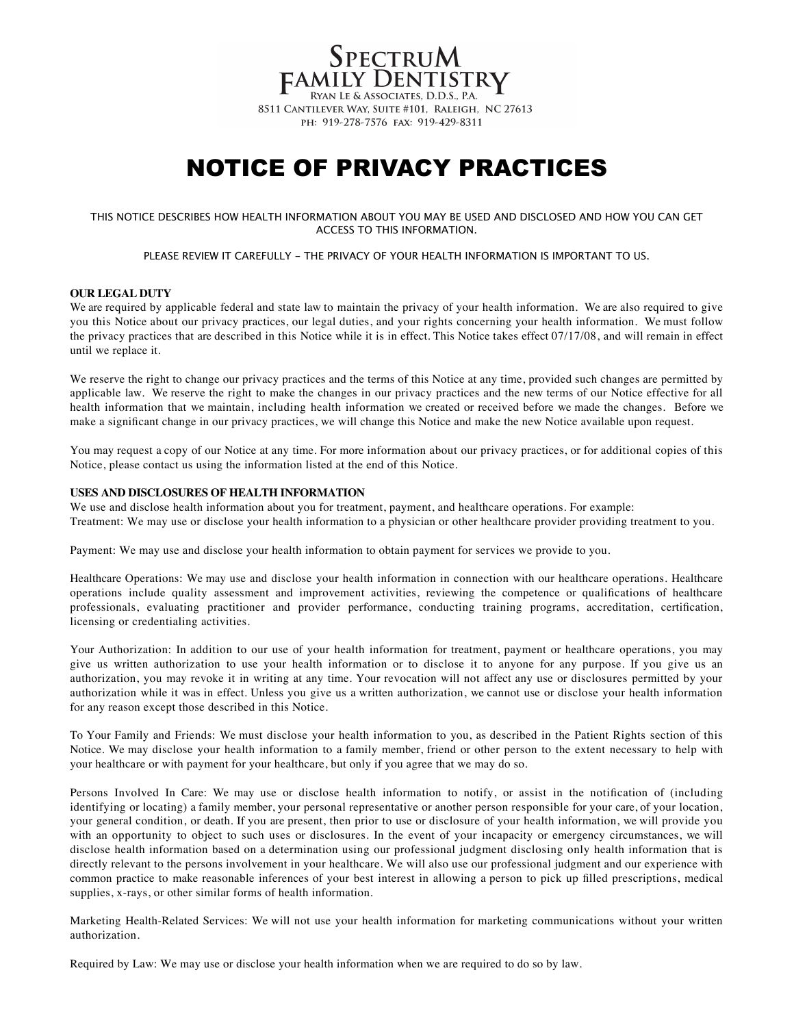

# NOTICE OF PRIVACY PRACTICES

## THIS NOTICE DESCRIBES HOW HEALTH INFORMATION ABOUT YOU MAY BE USED AND DISCLOSED AND HOW YOU CAN GET ACCESS TO THIS INFORMATION.

# PLEASE REVIEW IT CAREFULLY - THE PRIVACY OF YOUR HEALTH INFORMATION IS IMPORTANT TO US.

# **OUR LEGAL DUTY**

We are required by applicable federal and state law to maintain the privacy of your health information. We are also required to give you this Notice about our privacy practices, our legal duties, and your rights concerning your health information. We must follow the privacy practices that are described in this Notice while it is in effect. This Notice takes effect 07/17/08, and will remain in effect until we replace it.

We reserve the right to change our privacy practices and the terms of this Notice at any time, provided such changes are permitted by applicable law. We reserve the right to make the changes in our privacy practices and the new terms of our Notice effective for all health information that we maintain, including health information we created or received before we made the changes. Before we make a significant change in our privacy practices, we will change this Notice and make the new Notice available upon request.

You may request a copy of our Notice at any time. For more information about our privacy practices, or for additional copies of this Notice, please contact us using the information listed at the end of this Notice.

## **USES AND DISCLOSURES OF HEALTH INFORMATION**

We use and disclose health information about you for treatment, payment, and healthcare operations. For example: Treatment: We may use or disclose your health information to a physician or other healthcare provider providing treatment to you.

Payment: We may use and disclose your health information to obtain payment for services we provide to you.

Healthcare Operations: We may use and disclose your health information in connection with our healthcare operations. Healthcare operations include quality assessment and improvement activities, reviewing the competence or qualifications of healthcare professionals, evaluating practitioner and provider performance, conducting training programs, accreditation, certification, licensing or credentialing activities.

Your Authorization: In addition to our use of your health information for treatment, payment or healthcare operations, you may give us written authorization to use your health information or to disclose it to anyone for any purpose. If you give us an authorization, you may revoke it in writing at any time. Your revocation will not affect any use or disclosures permitted by your authorization while it was in effect. Unless you give us a written authorization, we cannot use or disclose your health information for any reason except those described in this Notice.

To Your Family and Friends: We must disclose your health information to you, as described in the Patient Rights section of this Notice. We may disclose your health information to a family member, friend or other person to the extent necessary to help with your healthcare or with payment for your healthcare, but only if you agree that we may do so.

Persons Involved In Care: We may use or disclose health information to notify, or assist in the notification of (including identifying or locating) a family member, your personal representative or another person responsible for your care, of your location, your general condition, or death. If you are present, then prior to use or disclosure of your health information, we will provide you with an opportunity to object to such uses or disclosures. In the event of your incapacity or emergency circumstances, we will disclose health information based on a determination using our professional judgment disclosing only health information that is directly relevant to the persons involvement in your healthcare. We will also use our professional judgment and our experience with common practice to make reasonable inferences of your best interest in allowing a person to pick up filled prescriptions, medical supplies, x-rays, or other similar forms of health information.

Marketing Health-Related Services: We will not use your health information for marketing communications without your written authorization.

Required by Law: We may use or disclose your health information when we are required to do so by law.